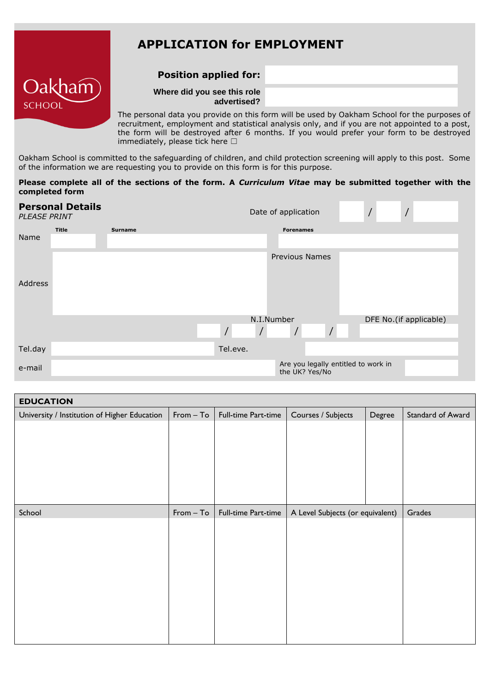# **APPLICATION for EMPLOYMENT**

## **Position applied for:**



#### **Where did you see this role advertised?**

The personal data you provide on this form will be used by Oakham School for the purposes of recruitment, employment and statistical analysis only, and if you are not appointed to a post, the form will be destroyed after 6 months. If you would prefer your form to be destroyed immediately, please tick here  $□$ 

Oakham School is committed to the safeguarding of children, and child protection screening will apply to this post. Some of the information we are requesting you to provide on this form is for this purpose.

#### **Please complete all of the sections of the form. A** *Curriculum Vitae* **may be submitted together with the completed form**

| <b>Personal Details</b><br>PLEASE PRINT |       |         |                            | Date of application                                   |  |                        |  |
|-----------------------------------------|-------|---------|----------------------------|-------------------------------------------------------|--|------------------------|--|
|                                         | Title | Surname |                            | <b>Forenames</b>                                      |  |                        |  |
| Name                                    |       |         |                            |                                                       |  |                        |  |
|                                         |       |         |                            | <b>Previous Names</b>                                 |  |                        |  |
| Address                                 |       |         |                            |                                                       |  |                        |  |
|                                         |       |         | N.I.Number                 |                                                       |  | DFE No.(if applicable) |  |
|                                         |       |         | $\prime$<br>$\overline{1}$ | $\overline{ }$<br>$\sqrt{2}$                          |  |                        |  |
| Tel.day                                 |       |         | Tel.eve.                   |                                                       |  |                        |  |
| e-mail                                  |       |         |                            | Are you legally entitled to work in<br>the UK? Yes/No |  |                        |  |

| <b>EDUCATION</b>                             |             |                     |                                  |        |                   |
|----------------------------------------------|-------------|---------------------|----------------------------------|--------|-------------------|
| University / Institution of Higher Education | $From - To$ | Full-time Part-time | Courses / Subjects               | Degree | Standard of Award |
|                                              |             |                     |                                  |        |                   |
|                                              |             |                     |                                  |        |                   |
|                                              |             |                     |                                  |        |                   |
|                                              |             |                     |                                  |        |                   |
|                                              |             |                     |                                  |        |                   |
|                                              |             |                     |                                  |        |                   |
| School                                       | $From - To$ | Full-time Part-time | A Level Subjects (or equivalent) |        | Grades            |
|                                              |             |                     |                                  |        |                   |
|                                              |             |                     |                                  |        |                   |
|                                              |             |                     |                                  |        |                   |
|                                              |             |                     |                                  |        |                   |
|                                              |             |                     |                                  |        |                   |
|                                              |             |                     |                                  |        |                   |
|                                              |             |                     |                                  |        |                   |
|                                              |             |                     |                                  |        |                   |
|                                              |             |                     |                                  |        |                   |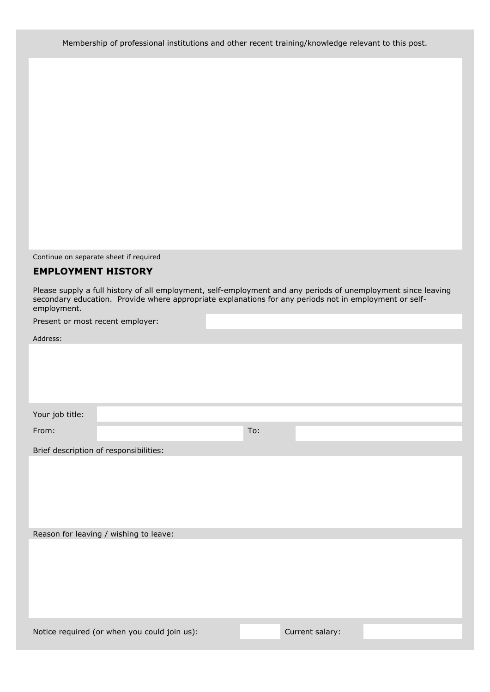Membership of professional institutions and other recent training/knowledge relevant to this post.

Continue on separate sheet if required

#### **EMPLOYMENT HISTORY**

Please supply a full history of all employment, self-employment and any periods of unemployment since leaving secondary education. Provide where appropriate explanations for any periods not in employment or selfemployment.

Present or most recent employer:

Address:

Your job title:

From: To:

Brief description of responsibilities:

Reason for leaving / wishing to leave:

Notice required (or when you could join us): Current salary: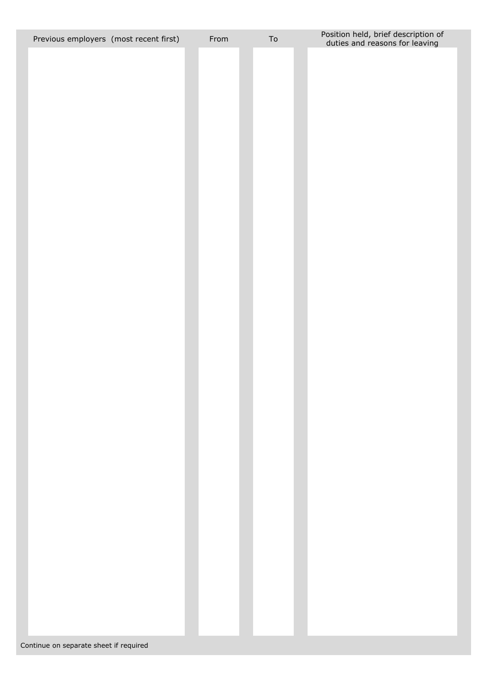| Previous employers (most recent first) | From | ${\sf To}$ | Position held, brief description of<br>duties and reasons for leaving |
|----------------------------------------|------|------------|-----------------------------------------------------------------------|
|                                        |      |            |                                                                       |
|                                        |      |            |                                                                       |
|                                        |      |            |                                                                       |
|                                        |      |            |                                                                       |
|                                        |      |            |                                                                       |
|                                        |      |            |                                                                       |
|                                        |      |            |                                                                       |
|                                        |      |            |                                                                       |
|                                        |      |            |                                                                       |
|                                        |      |            |                                                                       |
|                                        |      |            |                                                                       |
|                                        |      |            |                                                                       |
|                                        |      |            |                                                                       |
|                                        |      |            |                                                                       |
|                                        |      |            |                                                                       |
|                                        |      |            |                                                                       |
|                                        |      |            |                                                                       |
|                                        |      |            |                                                                       |
|                                        |      |            |                                                                       |
|                                        |      |            |                                                                       |
|                                        |      |            |                                                                       |
|                                        |      |            |                                                                       |
|                                        |      |            |                                                                       |
|                                        |      |            |                                                                       |
|                                        |      |            |                                                                       |
|                                        |      |            |                                                                       |
|                                        |      |            |                                                                       |
|                                        |      |            |                                                                       |
|                                        |      |            |                                                                       |
|                                        |      |            |                                                                       |
|                                        |      |            |                                                                       |
|                                        |      |            |                                                                       |
|                                        |      |            |                                                                       |
|                                        |      |            |                                                                       |